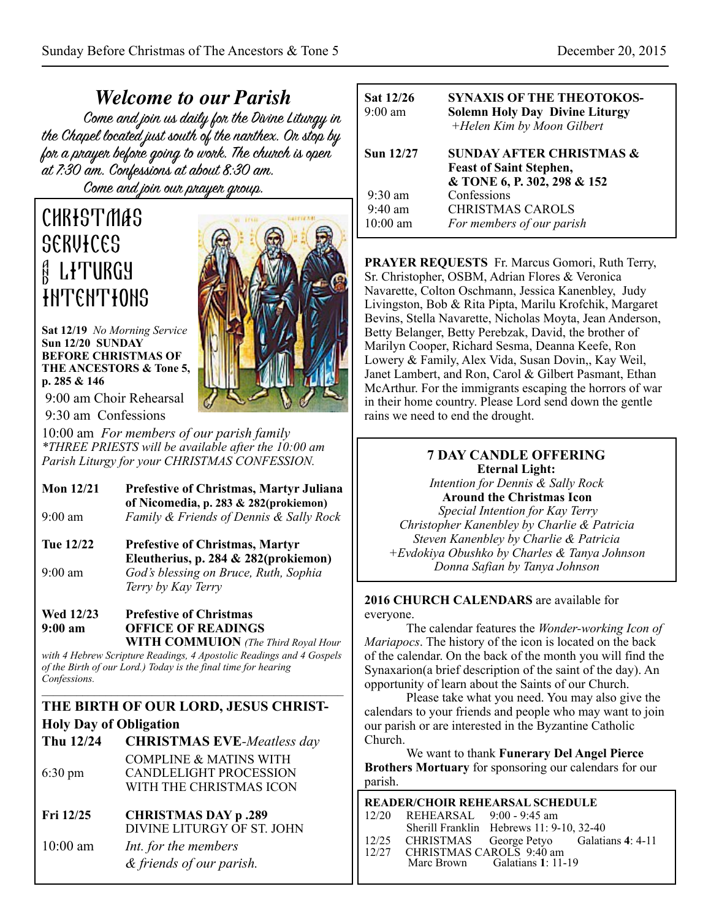*Welcome to our Parish* the Chapel located just south of the nanthex. On stop by for a prayer before going to work. The church is open at 7:30 am. Confessions at about 8:30 am. Come and join our prayer group.

# **CHRISTMAS SERVICES & LITURGY INTENTIONS**

**Sat 12/19** *No Morning Service* **Sun 12/20 SUNDAY BEFORE CHRISTMAS OF THE ANCESTORS & Tone 5, p. 285 & 146** 

 9:00 am Choir Rehearsal 9:30 am Confessions

10:00 am *For members of our parish family \*THREE PRIESTS will be available after the 10:00 am Parish Liturgy for your CHRISTMAS CONFESSION.*

| Mon $12/21$ | <b>Prefestive of Christmas, Martyr Juliana</b> |  |  |
|-------------|------------------------------------------------|--|--|
|             | of Nicomedia, p. 283 $& 282$ (prokiemon)       |  |  |
| $9:00$ am   | Family & Friends of Dennis & Sally Rock        |  |  |

**Tue 12/22 Prefestive of Christmas, Martyr Eleutherius, p. 284 & 282(prokiemon)**  9:00 am *God's blessing on Bruce, Ruth, Sophia Terry by Kay Terry*

# **Wed 12/23 Prefestive of Christmas 9:00 am OFFICE OF READINGS**

 **WITH COMMUION** *(The Third Royal Hour with 4 Hebrew Scripture Readings, 4 Apostolic Readings and 4 Gospels of the Birth of our Lord.) Today is the final time for hearing Confessions.*

 $\mathcal{L} = \{ \mathcal{L} = \{ \mathcal{L} \} \cup \{ \mathcal{L} = \{ \mathcal{L} \} \cup \{ \mathcal{L} = \{ \mathcal{L} \} \cup \{ \mathcal{L} = \{ \mathcal{L} \} \cup \{ \mathcal{L} = \{ \mathcal{L} \} \cup \{ \mathcal{L} = \{ \mathcal{L} \} \cup \{ \mathcal{L} = \{ \mathcal{L} \} \cup \{ \mathcal{L} = \{ \mathcal{L} \} \cup \{ \mathcal{L} = \{ \mathcal{L} \} \cup \{ \mathcal{L} = \{ \mathcal{L} \} \cup \{ \$ 

# **THE BIRTH OF OUR LORD, JESUS CHRIST-Holy Day of Obligation**

| Thu 12/24         | <b>CHRISTMAS EVE-Meatless day</b> |
|-------------------|-----------------------------------|
|                   | <b>COMPLINE &amp; MATINS WITH</b> |
| $6:30 \text{ pm}$ | <b>CANDLELIGHT PROCESSION</b>     |
|                   | WITH THE CHRISTMAS ICON           |
|                   |                                   |

- **Fri 12/25 CHRISTMAS DAY p .289** DIVINE LITURGY OF ST. JOHN
- 10:00 am *Int. for the members & friends of our parish.*



| Sat 12/26<br>$9:00$ am | <b>SYNAXIS OF THE THEOTOKOS-</b><br><b>Solemn Holy Day Divine Liturgy</b><br>+Helen Kim by Moon Gilbert |
|------------------------|---------------------------------------------------------------------------------------------------------|
| Sun 12/27              | <b>SUNDAY AFTER CHRISTMAS &amp;</b><br><b>Feast of Saint Stephen,</b><br>& TONE 6, P. 302, 298 & 152    |
| $9:30 \text{ am}$      | Confessions                                                                                             |
| $9:40 \text{ am}$      | <b>CHRISTMAS CAROLS</b>                                                                                 |
| $10:00$ am             | For members of our parish                                                                               |

**PRAYER REQUESTS** Fr. Marcus Gomori, Ruth Terry, Sr. Christopher, OSBM, Adrian Flores & Veronica Navarette, Colton Oschmann, Jessica Kanenbley, Judy Livingston, Bob & Rita Pipta, Marilu Krofchik, Margaret Bevins, Stella Navarette, Nicholas Moyta, Jean Anderson, Betty Belanger, Betty Perebzak, David, the brother of Marilyn Cooper, Richard Sesma, Deanna Keefe, Ron Lowery & Family, Alex Vida, Susan Dovin,, Kay Weil, Janet Lambert, and Ron, Carol & Gilbert Pasmant, Ethan McArthur. For the immigrants escaping the horrors of war in their home country. Please Lord send down the gentle rains we need to end the drought.

#### **7 DAY CANDLE OFFERING Eternal Light:**

*Intention for Dennis & Sally Rock*  **Around the Christmas Icon** 

 *Special Intention for Kay Terry Christopher Kanenbley by Charlie & Patricia Steven Kanenbley by Charlie & Patricia +Evdokiya Obushko by Charles & Tanya Johnson Donna Safian by Tanya Johnson*

#### **2016 CHURCH CALENDARS** are available for everyone.

 The calendar features the *Wonder-working Icon of Mariapocs*. The history of the icon is located on the back of the calendar. On the back of the month you will find the Synaxarion(a brief description of the saint of the day). An opportunity of learn about the Saints of our Church.

 Please take what you need. You may also give the calendars to your friends and people who may want to join our parish or are interested in the Byzantine Catholic Church.

 We want to thank **Funerary Del Angel Pierce Brothers Mortuary** for sponsoring our calendars for our parish.

| <b>READER/CHOIR REHEARSAL SCHEDULE</b> |                                          |                               |                                                |  |  |  |
|----------------------------------------|------------------------------------------|-------------------------------|------------------------------------------------|--|--|--|
|                                        | 12/20 REHEARSAL 9:00 - 9:45 am           |                               |                                                |  |  |  |
|                                        | Sherill Franklin Hebrews 11: 9-10, 32-40 |                               |                                                |  |  |  |
|                                        |                                          |                               | 12/25 CHRISTMAS George Petyo Galatians 4: 4-11 |  |  |  |
|                                        | 12/27 CHRISTMAS CAROLS 9:40 am           |                               |                                                |  |  |  |
|                                        |                                          | Marc Brown Galatians 1: 11-19 |                                                |  |  |  |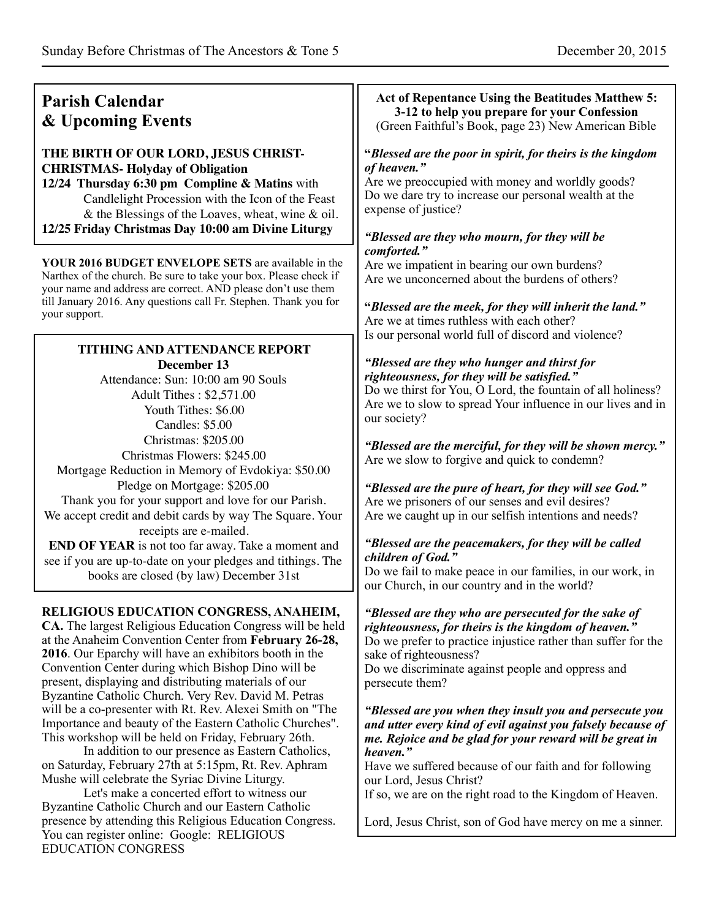You can register online: Google: RELIGIOUS

EDUCATION CONGRESS

| <b>Parish Calendar</b><br>& Upcoming Events                                                                                                                                                                                                                                                                                                                                                                                                                                                                                                                                                                                                                                                                                                                                                                                                                                                                       | Act of Repentance Using the Beatitudes Matthew 5:<br>3-12 to help you prepare for your Confession<br>(Green Faithful's Book, page 23) New American Bible                                                                                                                                                                                                                                                                                                                                                                                                                                                                                                                                                                                                                                                                                                                                                                                                                                                                                                                                                                                                                                                                    |  |  |
|-------------------------------------------------------------------------------------------------------------------------------------------------------------------------------------------------------------------------------------------------------------------------------------------------------------------------------------------------------------------------------------------------------------------------------------------------------------------------------------------------------------------------------------------------------------------------------------------------------------------------------------------------------------------------------------------------------------------------------------------------------------------------------------------------------------------------------------------------------------------------------------------------------------------|-----------------------------------------------------------------------------------------------------------------------------------------------------------------------------------------------------------------------------------------------------------------------------------------------------------------------------------------------------------------------------------------------------------------------------------------------------------------------------------------------------------------------------------------------------------------------------------------------------------------------------------------------------------------------------------------------------------------------------------------------------------------------------------------------------------------------------------------------------------------------------------------------------------------------------------------------------------------------------------------------------------------------------------------------------------------------------------------------------------------------------------------------------------------------------------------------------------------------------|--|--|
| THE BIRTH OF OUR LORD, JESUS CHRIST-<br><b>CHRISTMAS- Holyday of Obligation</b><br>12/24 Thursday 6:30 pm Compline & Matins with<br>Candlelight Procession with the Icon of the Feast<br>& the Blessings of the Loaves, wheat, wine & oil.<br>12/25 Friday Christmas Day 10:00 am Divine Liturgy                                                                                                                                                                                                                                                                                                                                                                                                                                                                                                                                                                                                                  | "Blessed are the poor in spirit, for theirs is the kingdom<br>of heaven."<br>Are we preoccupied with money and worldly goods?<br>Do we dare try to increase our personal wealth at the<br>expense of justice?<br>"Blessed are they who mourn, for they will be<br>comforted."<br>Are we impatient in bearing our own burdens?<br>Are we unconcerned about the burdens of others?<br>"Blessed are the meek, for they will inherit the land."<br>Are we at times ruthless with each other?<br>Is our personal world full of discord and violence?<br>"Blessed are they who hunger and thirst for<br>righteousness, for they will be satisfied."<br>Do we thirst for You, O Lord, the fountain of all holiness?<br>Are we to slow to spread Your influence in our lives and in<br>our society?<br>"Blessed are the merciful, for they will be shown mercy."<br>Are we slow to forgive and quick to condemn?<br>"Blessed are the pure of heart, for they will see God."<br>Are we prisoners of our senses and evil desires?<br>Are we caught up in our selfish intentions and needs?<br>"Blessed are the peacemakers, for they will be called<br>children of God."<br>Do we fail to make peace in our families, in our work, in |  |  |
| YOUR 2016 BUDGET ENVELOPE SETS are available in the<br>Narthex of the church. Be sure to take your box. Please check if<br>your name and address are correct. AND please don't use them<br>till January 2016. Any questions call Fr. Stephen. Thank you for<br>your support.                                                                                                                                                                                                                                                                                                                                                                                                                                                                                                                                                                                                                                      |                                                                                                                                                                                                                                                                                                                                                                                                                                                                                                                                                                                                                                                                                                                                                                                                                                                                                                                                                                                                                                                                                                                                                                                                                             |  |  |
| <b>TITHING AND ATTENDANCE REPORT</b><br>December 13<br>Attendance: Sun: 10:00 am 90 Souls<br>Adult Tithes: \$2,571.00<br>Youth Tithes: \$6.00<br>Candles: \$5.00<br>Christmas: \$205.00<br>Christmas Flowers: \$245.00<br>Mortgage Reduction in Memory of Evdokiya: \$50.00<br>Pledge on Mortgage: \$205.00<br>Thank you for your support and love for our Parish.<br>We accept credit and debit cards by way The Square. Your<br>receipts are e-mailed.<br><b>END OF YEAR</b> is not too far away. Take a moment and<br>see if you are up-to-date on your pledges and tithings. The<br>books are closed (by law) December 31st                                                                                                                                                                                                                                                                                   |                                                                                                                                                                                                                                                                                                                                                                                                                                                                                                                                                                                                                                                                                                                                                                                                                                                                                                                                                                                                                                                                                                                                                                                                                             |  |  |
| RELIGIOUS EDUCATION CONGRESS, ANAHEIM,<br>CA. The largest Religious Education Congress will be held<br>at the Anaheim Convention Center from February 26-28,<br>2016. Our Eparchy will have an exhibitors booth in the<br>Convention Center during which Bishop Dino will be<br>present, displaying and distributing materials of our<br>Byzantine Catholic Church. Very Rev. David M. Petras<br>will be a co-presenter with Rt. Rev. Alexei Smith on "The<br>Importance and beauty of the Eastern Catholic Churches".<br>This workshop will be held on Friday, February 26th.<br>In addition to our presence as Eastern Catholics,<br>on Saturday, February 27th at 5:15pm, Rt. Rev. Aphram<br>Mushe will celebrate the Syriac Divine Liturgy.<br>Let's make a concerted effort to witness our<br>Byzantine Catholic Church and our Eastern Catholic<br>presence by attending this Religious Education Congress. | our Church, in our country and in the world?<br>"Blessed are they who are persecuted for the sake of<br>righteousness, for theirs is the kingdom of heaven."<br>Do we prefer to practice injustice rather than suffer for the<br>sake of righteousness?<br>Do we discriminate against people and oppress and<br>persecute them?<br>"Blessed are you when they insult you and persecute you<br>and utter every kind of evil against you falsely because of<br>me. Rejoice and be glad for your reward will be great in<br>heaven."<br>Have we suffered because of our faith and for following<br>our Lord, Jesus Christ?<br>If so, we are on the right road to the Kingdom of Heaven.<br>Lord, Jesus Christ, son of God have mercy on me a sinner.                                                                                                                                                                                                                                                                                                                                                                                                                                                                           |  |  |
| You can register online: Google: RELIGIOUS                                                                                                                                                                                                                                                                                                                                                                                                                                                                                                                                                                                                                                                                                                                                                                                                                                                                        |                                                                                                                                                                                                                                                                                                                                                                                                                                                                                                                                                                                                                                                                                                                                                                                                                                                                                                                                                                                                                                                                                                                                                                                                                             |  |  |